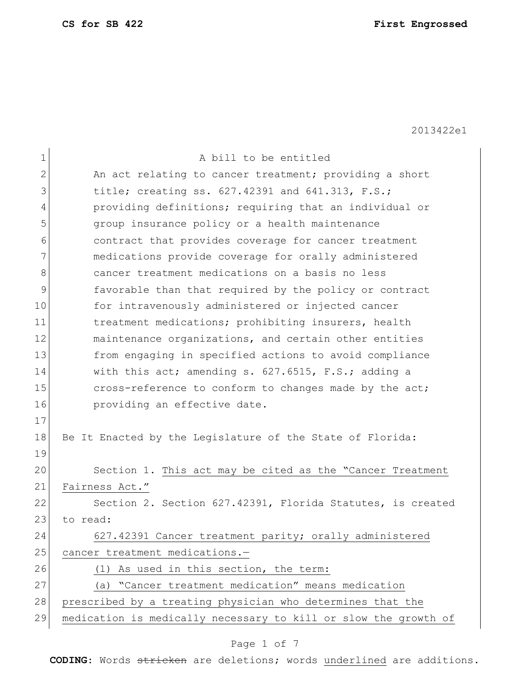**CS for SB 422 First Engrossed**

2013422e1

| $\mathbf 1$    | A bill to be entitled                                           |
|----------------|-----------------------------------------------------------------|
| $\overline{2}$ | An act relating to cancer treatment; providing a short          |
| 3              | title; creating ss. 627.42391 and 641.313, F.S.;                |
| 4              | providing definitions; requiring that an individual or          |
| 5              | group insurance policy or a health maintenance                  |
| 6              | contract that provides coverage for cancer treatment            |
| 7              | medications provide coverage for orally administered            |
| 8              | cancer treatment medications on a basis no less                 |
| $\mathcal{G}$  | favorable than that required by the policy or contract          |
| 10             | for intravenously administered or injected cancer               |
| 11             | treatment medications; prohibiting insurers, health             |
| 12             | maintenance organizations, and certain other entities           |
| 13             | from engaging in specified actions to avoid compliance          |
| 14             | with this $act$ ; amending s. $627.6515$ , F.S.; adding a       |
| 15             | cross-reference to conform to changes made by the act;          |
| 16             | providing an effective date.                                    |
| 17             |                                                                 |
| 18             | Be It Enacted by the Legislature of the State of Florida:       |
| 19             |                                                                 |
| 20             | Section 1. This act may be cited as the "Cancer Treatment       |
| 21             | Fairness Act."                                                  |
| 22             | Section 2. Section 627.42391, Florida Statutes, is created      |
| 23             | to read:                                                        |
| 24             | 627.42391 Cancer treatment parity; orally administered          |
| 25             | cancer treatment medications.-                                  |
| 26             | As used in this section, the term:<br>(T)                       |
| 27             | (a) "Cancer treatment medication" means medication              |
| 28             | prescribed by a treating physician who determines that the      |
| 29             | medication is medically necessary to kill or slow the growth of |
|                |                                                                 |

# Page 1 of 7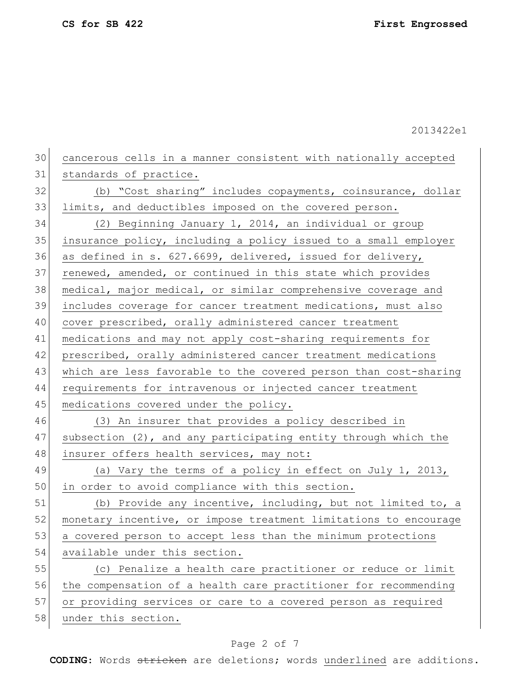**CS for SB 422 First Engrossed**

2013422e1

| 30 | cancerous cells in a manner consistent with nationally accepted  |
|----|------------------------------------------------------------------|
| 31 | standards of practice.                                           |
| 32 | (b) "Cost sharing" includes copayments, coinsurance, dollar      |
| 33 | limits, and deductibles imposed on the covered person.           |
| 34 | (2) Beginning January 1, 2014, an individual or group            |
| 35 | insurance policy, including a policy issued to a small employer  |
| 36 | as defined in s. 627.6699, delivered, issued for delivery,       |
| 37 | renewed, amended, or continued in this state which provides      |
| 38 | medical, major medical, or similar comprehensive coverage and    |
| 39 | includes coverage for cancer treatment medications, must also    |
| 40 | cover prescribed, orally administered cancer treatment           |
| 41 | medications and may not apply cost-sharing requirements for      |
| 42 | prescribed, orally administered cancer treatment medications     |
| 43 | which are less favorable to the covered person than cost-sharing |
| 44 | requirements for intravenous or injected cancer treatment        |
| 45 | medications covered under the policy.                            |
| 46 | (3) An insurer that provides a policy described in               |
| 47 | subsection (2), and any participating entity through which the   |
| 48 | insurer offers health services, may not:                         |
| 49 | (a) Vary the terms of a policy in effect on July 1, 2013,        |
| 50 | in order to avoid compliance with this section.                  |
| 51 | (b) Provide any incentive, including, but not limited to, a      |
| 52 | monetary incentive, or impose treatment limitations to encourage |
| 53 | a covered person to accept less than the minimum protections     |
| 54 | available under this section.                                    |
| 55 | (c) Penalize a health care practitioner or reduce or limit       |
| 56 | the compensation of a health care practitioner for recommending  |
| 57 | or providing services or care to a covered person as required    |
| 58 | under this section.                                              |

# Page 2 of 7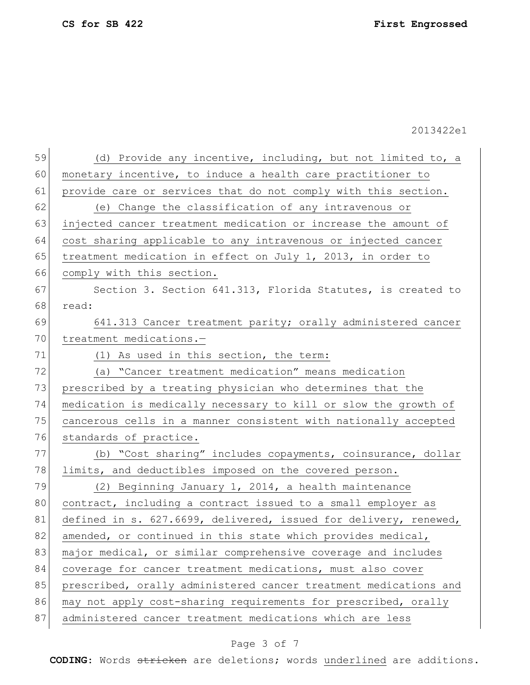| 59 | (d) Provide any incentive, including, but not limited to, a      |
|----|------------------------------------------------------------------|
| 60 | monetary incentive, to induce a health care practitioner to      |
| 61 | provide care or services that do not comply with this section.   |
| 62 | (e) Change the classification of any intravenous or              |
| 63 | injected cancer treatment medication or increase the amount of   |
| 64 | cost sharing applicable to any intravenous or injected cancer    |
| 65 | treatment medication in effect on July 1, 2013, in order to      |
| 66 | comply with this section.                                        |
| 67 | Section 3. Section 641.313, Florida Statutes, is created to      |
| 68 | read:                                                            |
| 69 | 641.313 Cancer treatment parity; orally administered cancer      |
| 70 | treatment medications.-                                          |
| 71 | (1) As used in this section, the term:                           |
| 72 | (a) "Cancer treatment medication" means medication               |
| 73 | prescribed by a treating physician who determines that the       |
| 74 | medication is medically necessary to kill or slow the growth of  |
| 75 | cancerous cells in a manner consistent with nationally accepted  |
| 76 | standards of practice.                                           |
| 77 | (b) "Cost sharing" includes copayments, coinsurance, dollar      |
| 78 | limits, and deductibles imposed on the covered person.           |
| 79 | (2) Beginning January 1, 2014, a health maintenance              |
| 80 | contract, including a contract issued to a small employer as     |
| 81 | defined in s. 627.6699, delivered, issued for delivery, renewed, |
| 82 | amended, or continued in this state which provides medical,      |
| 83 | major medical, or similar comprehensive coverage and includes    |
| 84 | coverage for cancer treatment medications, must also cover       |
| 85 | prescribed, orally administered cancer treatment medications and |
| 86 | may not apply cost-sharing requirements for prescribed, orally   |
| 87 | administered cancer treatment medications which are less         |

# Page 3 of 7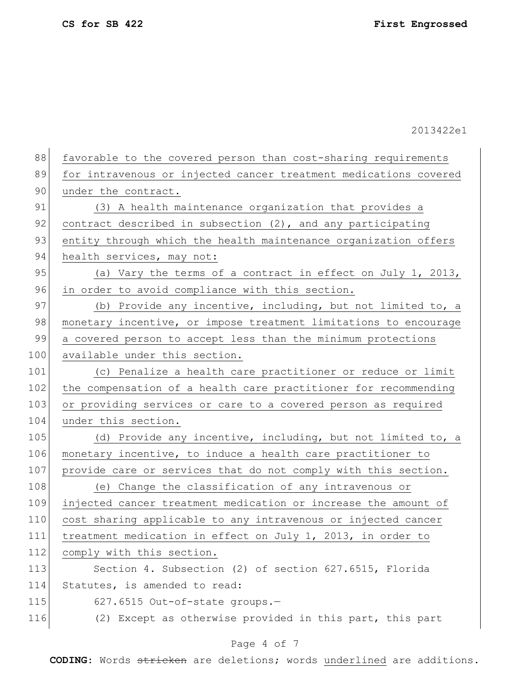| 88  | favorable to the covered person than cost-sharing requirements   |
|-----|------------------------------------------------------------------|
| 89  | for intravenous or injected cancer treatment medications covered |
| 90  | under the contract.                                              |
| 91  | (3) A health maintenance organization that provides a            |
| 92  | contract described in subsection (2), and any participating      |
| 93  | entity through which the health maintenance organization offers  |
| 94  | health services, may not:                                        |
| 95  | (a) Vary the terms of a contract in effect on July 1, 2013,      |
| 96  | in order to avoid compliance with this section.                  |
| 97  | (b) Provide any incentive, including, but not limited to, a      |
| 98  | monetary incentive, or impose treatment limitations to encourage |
| 99  | a covered person to accept less than the minimum protections     |
| 100 | available under this section.                                    |
| 101 | (c) Penalize a health care practitioner or reduce or limit       |
| 102 | the compensation of a health care practitioner for recommending  |
| 103 | or providing services or care to a covered person as required    |
| 104 | under this section.                                              |
| 105 | (d) Provide any incentive, including, but not limited to, a      |
| 106 | monetary incentive, to induce a health care practitioner to      |
| 107 | provide care or services that do not comply with this section.   |
| 108 | (e) Change the classification of any intravenous or              |
| 109 | injected cancer treatment medication or increase the amount of   |
| 110 | cost sharing applicable to any intravenous or injected cancer    |
| 111 | treatment medication in effect on July 1, 2013, in order to      |
| 112 | comply with this section.                                        |
| 113 | Section 4. Subsection (2) of section 627.6515, Florida           |
| 114 | Statutes, is amended to read:                                    |
| 115 | 627.6515 Out-of-state groups.-                                   |
| 116 | (2) Except as otherwise provided in this part, this part         |
|     |                                                                  |

## Page 4 of 7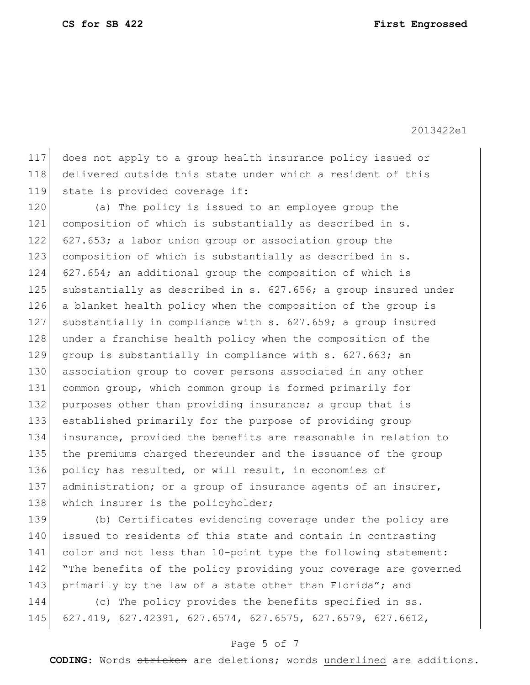117 does not apply to a group health insurance policy issued or 118 delivered outside this state under which a resident of this 119 state is provided coverage if:

120 (a) The policy is issued to an employee group the 121 composition of which is substantially as described in s. 122  $\left[627.653; a$  labor union group or association group the 123 composition of which is substantially as described in s. 124 627.654; an additional group the composition of which is 125 substantially as described in s.  $627.656$ ; a group insured under 126 a blanket health policy when the composition of the group is 127 substantially in compliance with s. 627.659; a group insured 128 under a franchise health policy when the composition of the 129 group is substantially in compliance with s. 627.663; an 130 association group to cover persons associated in any other 131 common group, which common group is formed primarily for 132 purposes other than providing insurance; a group that is 133 established primarily for the purpose of providing group 134 insurance, provided the benefits are reasonable in relation to 135 the premiums charged thereunder and the issuance of the group 136 policy has resulted, or will result, in economies of 137 administration; or a group of insurance agents of an insurer, 138 which insurer is the policyholder;

139 (b) Certificates evidencing coverage under the policy are 140 issued to residents of this state and contain in contrasting 141 color and not less than 10-point type the following statement: 142 The benefits of the policy providing your coverage are governed 143 primarily by the law of a state other than Florida"; and

144 (c) The policy provides the benefits specified in ss. 145 627.419, 627.42391, 627.6574, 627.6575, 627.6579, 627.6612,

#### Page 5 of 7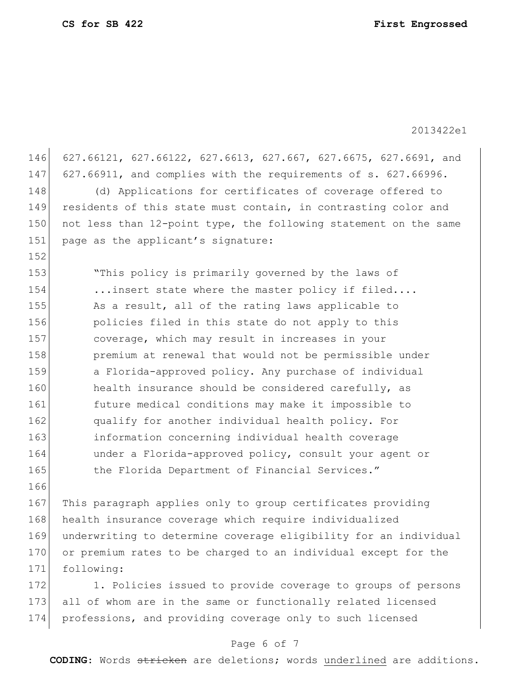146 627.66121, 627.66122, 627.6613, 627.667, 627.6675, 627.6691, and 147 627.66911, and complies with the requirements of s. 627.66996. 148 (d) Applications for certificates of coverage offered to 149 residents of this state must contain, in contrasting color and 150 not less than 12-point type, the following statement on the same 151 page as the applicant's signature: 152 153 "This policy is primarily governed by the laws of 154 ...insert state where the master policy if filed.... 155 As a result, all of the rating laws applicable to 156 policies filed in this state do not apply to this 157 coverage, which may result in increases in your 158 **premium at renewal that would not be permissible under** 159 a Florida-approved policy. Any purchase of individual 160 health insurance should be considered carefully, as 161 future medical conditions may make it impossible to 162 **qualify for another individual health policy.** For 163 information concerning individual health coverage 164 under a Florida-approved policy, consult your agent or 165 the Florida Department of Financial Services." 166

 This paragraph applies only to group certificates providing 168 health insurance coverage which require individualized underwriting to determine coverage eligibility for an individual or premium rates to be charged to an individual except for the following:

172 1. Policies issued to provide coverage to groups of persons 173 all of whom are in the same or functionally related licensed 174 professions, and providing coverage only to such licensed

### Page 6 of 7